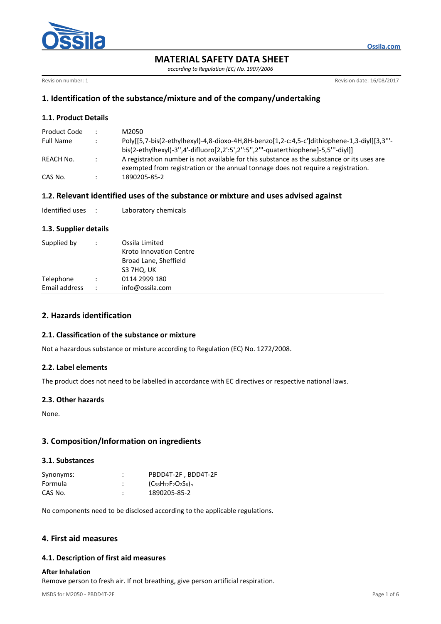

**MATERIAL SAFETY DATA SHEET**

*according to Regulation (EC) No. 1907/2006*

Revision number: 1 **Revision date: 16/08/2017** 

**Ossila.com**

# **1. Identification of the substance/mixture and of the company/undertaking**

## **1.1. Product Details**

| Product Code | ٠             | M2050                                                                                                                                                                           |
|--------------|---------------|---------------------------------------------------------------------------------------------------------------------------------------------------------------------------------|
| Full Name    |               | Poly[[5,7-bis(2-ethylhexyl)-4,8-dioxo-4H,8H-benzo[1,2-c:4,5-c']dithiophene-1,3-divl][3,3"'-<br>bis(2-ethylhexyl)-3",4'-difluoro[2,2':5',2":5",2""-quaterthiophene]-5,5"'-diyl]] |
| REACH No.    | $\mathcal{L}$ | A registration number is not available for this substance as the substance or its uses are<br>exempted from registration or the annual tonnage does not require a registration. |
| CAS No.      |               | 1890205-85-2                                                                                                                                                                    |

## **1.2. Relevant identified uses of the substance or mixture and uses advised against**

| Identified uses |  | Laboratory chemicals |
|-----------------|--|----------------------|
|-----------------|--|----------------------|

### **1.3. Supplier details**

| Supplied by   |                      | Ossila Limited<br>Kroto Innovation Centre<br>Broad Lane, Sheffield<br>S3 7HQ, UK |
|---------------|----------------------|----------------------------------------------------------------------------------|
| Telephone     |                      | 0114 2999 180                                                                    |
| Email address | $\ddot{\phantom{0}}$ | info@ossila.com                                                                  |

# **2. Hazards identification**

### **2.1. Classification of the substance or mixture**

Not a hazardous substance or mixture according to Regulation (EC) No. 1272/2008.

### **2.2. Label elements**

The product does not need to be labelled in accordance with EC directives or respective national laws.

### **2.3. Other hazards**

None.

# **3. Composition/Information on ingredients**

### **3.1. Substances**

| Synonyms: | ٠<br>٠ | PBDD4T-2F, BDD4T-2F           |
|-----------|--------|-------------------------------|
| Formula   | ٠<br>٠ | $(C_{58}H_{72}F_2O_2S_6)_{n}$ |
| CAS No.   | ٠      | 1890205-85-2                  |

No components need to be disclosed according to the applicable regulations.

## **4. First aid measures**

### **4.1. Description of first aid measures**

### **After Inhalation**

Remove person to fresh air. If not breathing, give person artificial respiration.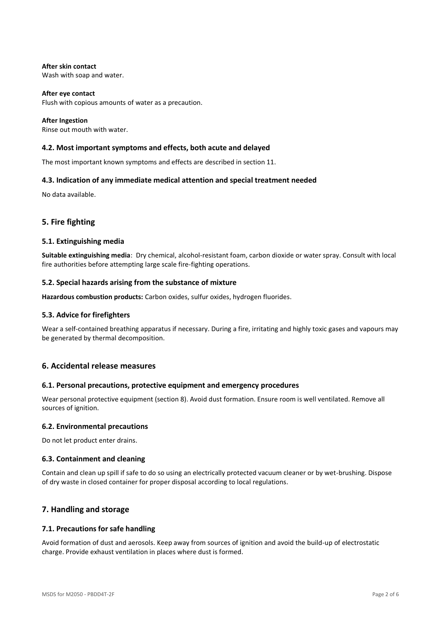**After skin contact** Wash with soap and water.

**After eye contact** Flush with copious amounts of water as a precaution.

**After Ingestion** Rinse out mouth with water.

### **4.2. Most important symptoms and effects, both acute and delayed**

The most important known symptoms and effects are described in section 11.

### **4.3. Indication of any immediate medical attention and special treatment needed**

No data available.

## **5. Fire fighting**

#### **5.1. Extinguishing media**

**Suitable extinguishing media**: Dry chemical, alcohol-resistant foam, carbon dioxide or water spray. Consult with local fire authorities before attempting large scale fire-fighting operations.

### **5.2. Special hazards arising from the substance of mixture**

**Hazardous combustion products:** Carbon oxides, sulfur oxides, hydrogen fluorides.

### **5.3. Advice for firefighters**

Wear a self-contained breathing apparatus if necessary. During a fire, irritating and highly toxic gases and vapours may be generated by thermal decomposition.

### **6. Accidental release measures**

### **6.1. Personal precautions, protective equipment and emergency procedures**

Wear personal protective equipment (section 8). Avoid dust formation. Ensure room is well ventilated. Remove all sources of ignition.

### **6.2. Environmental precautions**

Do not let product enter drains.

### **6.3. Containment and cleaning**

Contain and clean up spill if safe to do so using an electrically protected vacuum cleaner or by wet-brushing. Dispose of dry waste in closed container for proper disposal according to local regulations.

## **7. Handling and storage**

### **7.1. Precautions for safe handling**

Avoid formation of dust and aerosols. Keep away from sources of ignition and avoid the build-up of electrostatic charge. Provide exhaust ventilation in places where dust is formed.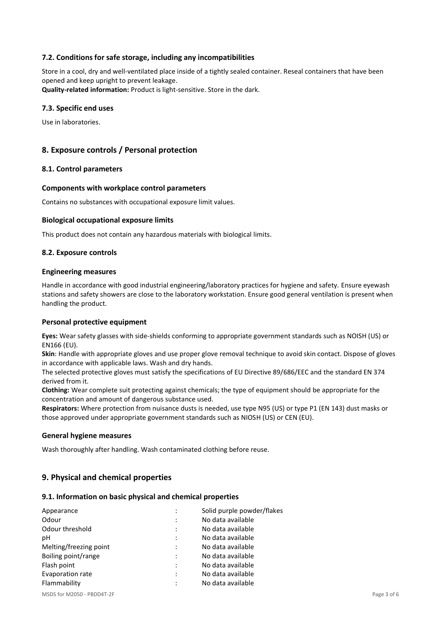### **7.2. Conditions for safe storage, including any incompatibilities**

Store in a cool, dry and well-ventilated place inside of a tightly sealed container. Reseal containers that have been opened and keep upright to prevent leakage. **Quality-related information:** Product is light-sensitive. Store in the dark.

#### **7.3. Specific end uses**

Use in laboratories.

### **8. Exposure controls / Personal protection**

#### **8.1. Control parameters**

#### **Components with workplace control parameters**

Contains no substances with occupational exposure limit values.

#### **Biological occupational exposure limits**

This product does not contain any hazardous materials with biological limits.

#### **8.2. Exposure controls**

#### **Engineering measures**

Handle in accordance with good industrial engineering/laboratory practices for hygiene and safety. Ensure eyewash stations and safety showers are close to the laboratory workstation. Ensure good general ventilation is present when handling the product.

#### **Personal protective equipment**

**Eyes:** Wear safety glasses with side-shields conforming to appropriate government standards such as NOISH (US) or EN166 (EU).

**Skin**: Handle with appropriate gloves and use proper glove removal technique to avoid skin contact. Dispose of gloves in accordance with applicable laws. Wash and dry hands.

The selected protective gloves must satisfy the specifications of EU Directive 89/686/EEC and the standard EN 374 derived from it.

**Clothing:** Wear complete suit protecting against chemicals; the type of equipment should be appropriate for the concentration and amount of dangerous substance used.

**Respirators:** Where protection from nuisance dusts is needed, use type N95 (US) or type P1 (EN 143) dust masks or those approved under appropriate government standards such as NIOSH (US) or CEN (EU).

#### **General hygiene measures**

Wash thoroughly after handling. Wash contaminated clothing before reuse.

## **9. Physical and chemical properties**

#### **9.1. Information on basic physical and chemical properties**

| Appearance             |                | Solid purple powder/flakes |
|------------------------|----------------|----------------------------|
| Odour                  |                | No data available          |
| Odour threshold        |                | No data available          |
| рH                     | $\bullet$      | No data available          |
| Melting/freezing point | $\ddot{\cdot}$ | No data available          |
| Boiling point/range    | ٠              | No data available          |
| Flash point            | ٠              | No data available          |
| Evaporation rate       |                | No data available          |
| Flammability           |                | No data available          |
|                        |                |                            |

MSDS for M2050 - PBDD4T-2F Page 3 of 6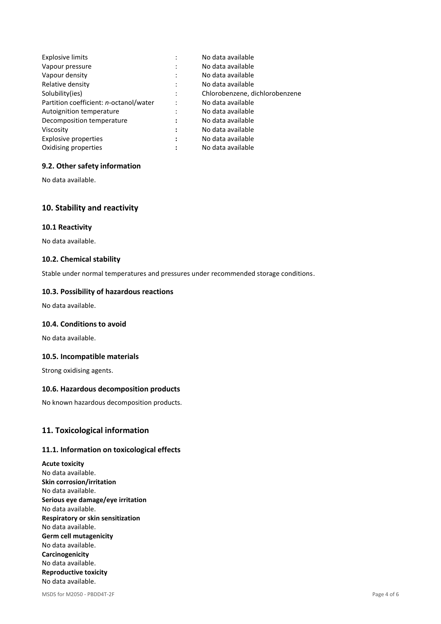| <b>Explosive limits</b>                | ٠                         | No data available              |
|----------------------------------------|---------------------------|--------------------------------|
| Vapour pressure                        | ٠<br>$\cdot$              | No data available              |
| Vapour density                         | ٠<br>$\ddot{\phantom{a}}$ | No data available              |
| Relative density                       | $\ddot{\cdot}$            | No data available              |
| Solubility(ies)                        | $\ddot{\cdot}$            | Chlorobenzene, dichlorobenzene |
| Partition coefficient: n-octanol/water | $\ddot{\cdot}$            | No data available              |
| Autoignition temperature               | ٠<br>$\cdot$              | No data available              |
| Decomposition temperature              | :                         | No data available              |
| Viscosity                              | :                         | No data available              |
| Explosive properties                   | :                         | No data available              |
| Oxidising properties                   | ٠                         | No data available              |

### **9.2. Other safety information**

No data available.

## **10. Stability and reactivity**

#### **10.1 Reactivity**

No data available.

### **10.2. Chemical stability**

Stable under normal temperatures and pressures under recommended storage conditions.

#### **10.3. Possibility of hazardous reactions**

No data available.

### **10.4. Conditions to avoid**

No data available.

#### **10.5. Incompatible materials**

Strong oxidising agents.

#### **10.6. Hazardous decomposition products**

No known hazardous decomposition products.

## **11. Toxicological information**

### **11.1. Information on toxicological effects**

**Acute toxicity** No data available. **Skin corrosion/irritation** No data available. **Serious eye damage/eye irritation** No data available. **Respiratory or skin sensitization** No data available. **Germ cell mutagenicity** No data available. **Carcinogenicity** No data available. **Reproductive toxicity** No data available.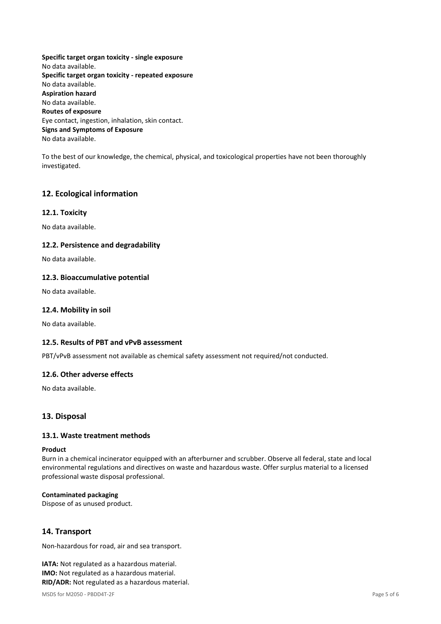**Specific target organ toxicity - single exposure** No data available. **Specific target organ toxicity - repeated exposure** No data available. **Aspiration hazard** No data available. **Routes of exposure** Eye contact, ingestion, inhalation, skin contact. **Signs and Symptoms of Exposure** No data available.

To the best of our knowledge, the chemical, physical, and toxicological properties have not been thoroughly investigated.

# **12. Ecological information**

### **12.1. Toxicity**

No data available.

### **12.2. Persistence and degradability**

No data available.

### **12.3. Bioaccumulative potential**

No data available.

### **12.4. Mobility in soil**

No data available.

### **12.5. Results of PBT and vPvB assessment**

PBT/vPvB assessment not available as chemical safety assessment not required/not conducted.

### **12.6. Other adverse effects**

No data available.

## **13. Disposal**

### **13.1. Waste treatment methods**

#### **Product**

Burn in a chemical incinerator equipped with an afterburner and scrubber. Observe all federal, state and local environmental regulations and directives on waste and hazardous waste. Offer surplus material to a licensed professional waste disposal professional.

### **Contaminated packaging**

Dispose of as unused product.

## **14. Transport**

Non-hazardous for road, air and sea transport.

**IATA:** Not regulated as a hazardous material. **IMO:** Not regulated as a hazardous material. **RID/ADR:** Not regulated as a hazardous material.